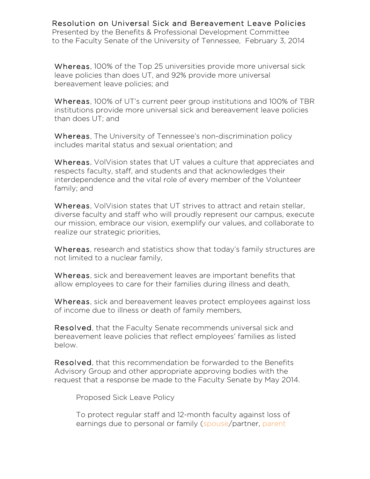Resolution on Universal Sick and Bereavement Leave Policies Presented by the Benefits & Professional Development Committee to the Faculty Senate of the University of Tennessee, February 3, 2014

Whereas, 100% of the Top 25 universities provide more universal sick leave policies than does UT, and 92% provide more universal bereavement leave policies; and

Whereas, 100% of UT's current peer group institutions and 100% of TBR institutions provide more universal sick and bereavement leave policies than does UT; and

Whereas, The University of Tennessee's non-discrimination policy includes marital status and sexual orientation; and

Whereas, VolVision states that UT values a culture that appreciates and respects faculty, staff, and students and that acknowledges their interdependence and the vital role of every member of the Volunteer family; and

Whereas, VolVision states that UT strives to attract and retain stellar, diverse faculty and staff who will proudly represent our campus, execute our mission, embrace our vision, exemplify our values, and collaborate to realize our strategic priorities,

Whereas, research and statistics show that today's family structures are not limited to a nuclear family,

Whereas, sick and bereavement leaves are important benefits that allow employees to care for their families during illness and death,

Whereas, sick and bereavement leaves protect employees against loss of income due to illness or death of family members,

Resolved, that the Faculty Senate recommends universal sick and bereavement leave policies that reflect employees' families as listed below.

Resolved, that this recommendation be forwarded to the Benefits Advisory Group and other appropriate approving bodies with the request that a response be made to the Faculty Senate by May 2014.

Proposed Sick Leave Policy

To protect regular staff and 12-month faculty against loss of earnings due to personal or family (spouse/partner, parent